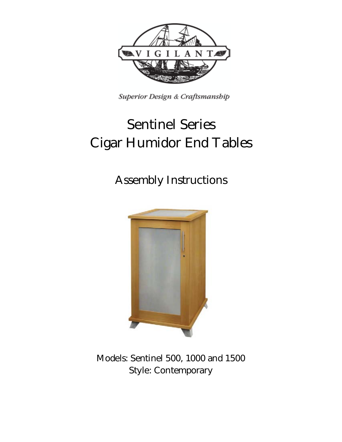

Superior Design & Craftsmanship

# **Sentinel Series Cigar Humidor End Tables**

## **Assembly Instructions**



**Models: Sentinel 500, 1000 and 1500 Style: Contemporary**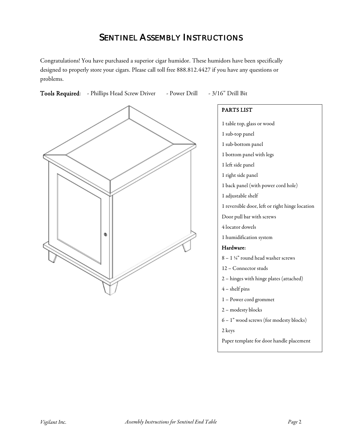## **SENTINEL ASSEMBLY INSTRUCTIONS**

Congratulations! You have purchased a superior cigar humidor. These humidors have been specifically designed to properly store your cigars. Please call toll free 888.812.4427 if you have any questions or problems.

Tools Required: - Phillips Head Screw Driver - Power Drill - 3/16" Drill Bit



PARTS LIST 1 table top, glass or wood 1 sub-top panel 1 sub-bottom panel 1 bottom panel with legs 1 left side panel 1 right side panel 1 back panel (with power cord hole) 1 adjustable shelf 1 reversible door, left or right hinge location Door pull bar with screws 4 locator dowels 1 humidification system Hardware: 8 – 1 ¼" round head washer screws 12 – Connector studs 2 – hinges with hinge plates (attached) 4 – shelf pins 1 – Power cord grommet 2 – modesty blocks 6 – 1" wood screws (for modesty blocks) 2 keys

Paper template for door handle placement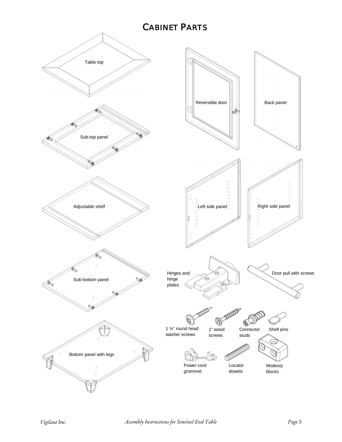## **CABINET PARTS**

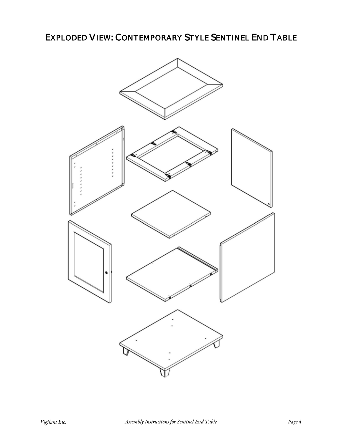**EXPLODED VIEW: CONTEMPORARY STYLE SENTINEL END TABLE** 

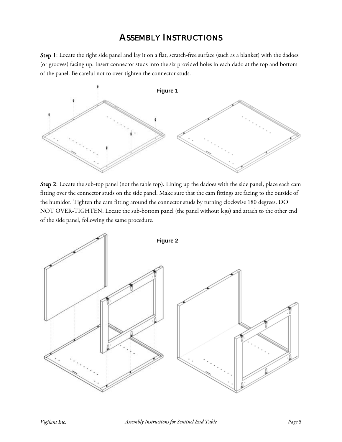### **ASSEMBLY INSTRUCTIONS**

Step 1: Locate the right side panel and lay it on a flat, scratch-free surface (such as a blanket) with the dadoes (or grooves) facing up. Insert connector studs into the six provided holes in each dado at the top and bottom of the panel. Be careful not to over-tighten the connector studs.



Step 2: Locate the sub-top panel (not the table top). Lining up the dadoes with the side panel, place each cam fitting over the connector studs on the side panel. Make sure that the cam fittings are facing to the outside of the humidor. Tighten the cam fitting around the connector studs by turning clockwise 180 degrees. DO NOT OVER-TIGHTEN. Locate the sub-bottom panel (the panel without legs) and attach to the other end of the side panel, following the same procedure.

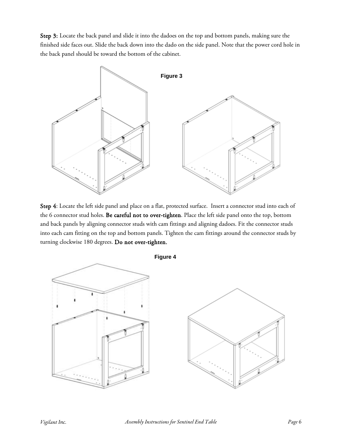Step 3: Locate the back panel and slide it into the dadoes on the top and bottom panels, making sure the finished side faces out. Slide the back down into the dado on the side panel. Note that the power cord hole in the back panel should be toward the bottom of the cabinet.



Step 4: Locate the left side panel and place on a flat, protected surface. Insert a connector stud into each of the 6 connector stud holes. Be careful not to over-tighten. Place the left side panel onto the top, bottom and back panels by aligning connector studs with cam fittings and aligning dadoes. Fit the connector studs into each cam fitting on the top and bottom panels. Tighten the cam fittings around the connector studs by turning clockwise 180 degrees. Do not over-tighten.

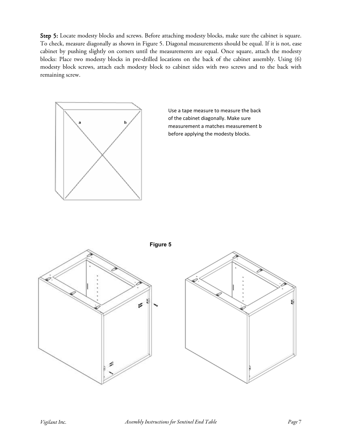Step 5: Locate modesty blocks and screws. Before attaching modesty blocks, make sure the cabinet is square. To check, measure diagonally as shown in Figure 5. Diagonal measurements should be equal. If it is not, ease cabinet by pushing slightly on corners until the measurements are equal. Once square, attach the modesty blocks: Place two modesty blocks in pre-drilled locations on the back of the cabinet assembly. Using (6) modesty block screws, attach each modesty block to cabinet sides with two screws and to the back with remaining screw.



Use a tape measure to measure the back of the cabinet diagonally. Make sure measurement a matches measurement b before applying the modesty blocks.

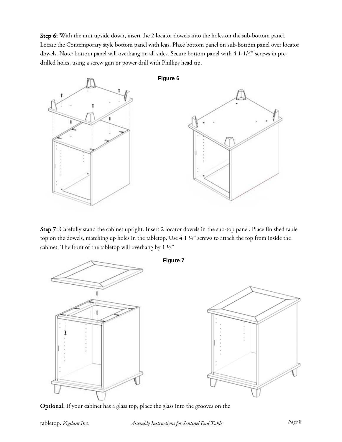Step 6: With the unit upside down, insert the 2 locator dowels into the holes on the sub-bottom panel. Locate the Contemporary style bottom panel with legs. Place bottom panel on sub-bottom panel over locator dowels. Note: bottom panel will overhang on all sides. Secure bottom panel with 4 1-1/4" screws in predrilled holes, using a screw gun or power drill with Phillips head tip.



Step 7: Carefully stand the cabinet upright. Insert 2 locator dowels in the sub-top panel. Place finished table top on the dowels, matching up holes in the tabletop. Use 4 1 ¼" screws to attach the top from inside the cabinet. The front of the tabletop will overhang by  $1 \frac{1}{2}$ "



Optional: If your cabinet has a glass top, place the glass into the grooves on the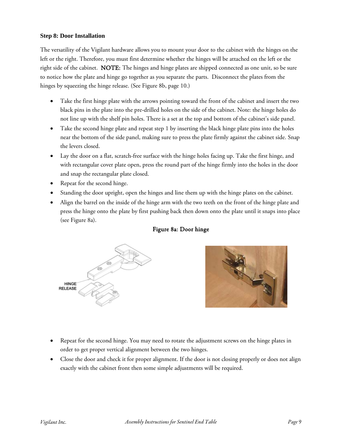#### **Step 8: Door Installation**

The versatility of the Vigilant hardware allows you to mount your door to the cabinet with the hinges on the left or the right. Therefore, you must first determine whether the hinges will be attached on the left or the right side of the cabinet. NOTE: The hinges and hinge plates are shipped connected as one unit, so be sure to notice how the plate and hinge go together as you separate the parts. Disconnect the plates from the hinges by squeezing the hinge release. (See Figure 8b, page 10.)

- Take the first hinge plate with the arrows pointing toward the front of the cabinet and insert the two black pins in the plate into the pre-drilled holes on the side of the cabinet. Note: the hinge holes do not line up with the shelf pin holes. There is a set at the top and bottom of the cabinet's side panel.
- Take the second hinge plate and repeat step 1 by inserting the black hinge plate pins into the holes near the bottom of the side panel, making sure to press the plate firmly against the cabinet side. Snap the levers closed.
- Lay the door on a flat, scratch-free surface with the hinge holes facing up. Take the first hinge, and with rectangular cover plate open, press the round part of the hinge firmly into the holes in the door and snap the rectangular plate closed.
- Repeat for the second hinge.
- Standing the door upright, open the hinges and line them up with the hinge plates on the cabinet.
- Align the barrel on the inside of the hinge arm with the two teeth on the front of the hinge plate and press the hinge onto the plate by first pushing back then down onto the plate until it snaps into place (see Figure 8a).

#### Figure 8a: Door hinge





- Repeat for the second hinge. You may need to rotate the adjustment screws on the hinge plates in order to get proper vertical alignment between the two hinges.
- Close the door and check it for proper alignment. If the door is not closing properly or does not align exactly with the cabinet front then some simple adjustments will be required.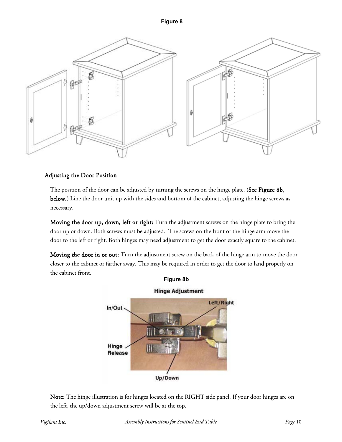



#### Adjusting the Door Position

The position of the door can be adjusted by turning the screws on the hinge plate. (See Figure 8b, below.) Line the door unit up with the sides and bottom of the cabinet, adjusting the hinge screws as necessary.

Moving the door up, down, left or right: Turn the adjustment screws on the hinge plate to bring the door up or down. Both screws must be adjusted. The screws on the front of the hinge arm move the door to the left or right. Both hinges may need adjustment to get the door exactly square to the cabinet.

Moving the door in or out: Turn the adjustment screw on the back of the hinge arm to move the door closer to the cabinet or farther away. This may be required in order to get the door to land properly on the cabinet front.



Note: The hinge illustration is for hinges located on the RIGHT side panel. If your door hinges are on the left, the up/down adjustment screw will be at the top.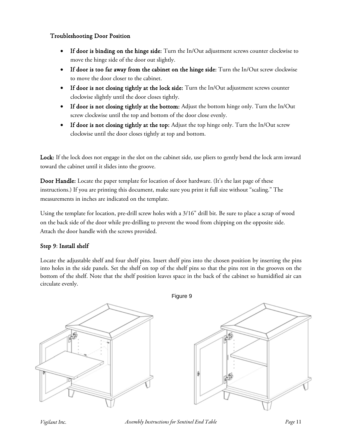#### Troubleshooting Door Position

- If door is binding on the hinge side: Turn the In/Out adjustment screws counter clockwise to move the hinge side of the door out slightly.
- If door is too far away from the cabinet on the hinge side: Turn the In/Out screw clockwise to move the door closer to the cabinet.
- If door is not closing tightly at the lock side: Turn the In/Out adjustment screws counter clockwise slightly until the door closes tightly.
- If door is not closing tightly at the bottom: Adjust the bottom hinge only. Turn the In/Out screw clockwise until the top and bottom of the door close evenly.
- If door is not closing tightly at the top: Adjust the top hinge only. Turn the In/Out screw clockwise until the door closes tightly at top and bottom.

Lock: If the lock does not engage in the slot on the cabinet side, use pliers to gently bend the lock arm inward toward the cabinet until it slides into the groove.

Door Handle: Locate the paper template for location of door hardware. (It's the last page of these instructions.) If you are printing this document, make sure you print it full size without "scaling." The measurements in inches are indicated on the template.

Using the template for location, pre-drill screw holes with a 3/16" drill bit. Be sure to place a scrap of wood on the back side of the door while pre-drilling to prevent the wood from chipping on the opposite side. Attach the door handle with the screws provided.

#### Step 9: Install shelf

Locate the adjustable shelf and four shelf pins. Insert shelf pins into the chosen position by inserting the pins into holes in the side panels. Set the shelf on top of the shelf pins so that the pins rest in the grooves on the bottom of the shelf. Note that the shelf position leaves space in the back of the cabinet so humidified air can circulate evenly.

Figure 9